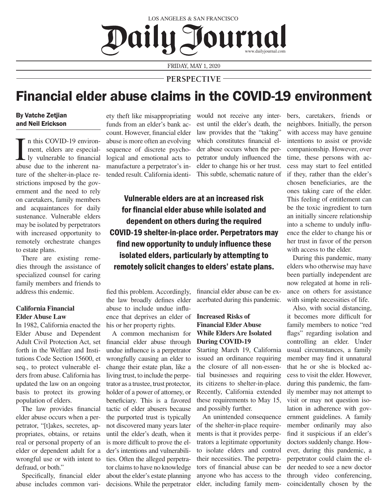# LOS ANGELES & SAN FRANCISCO Dailu Journal www.dailyjournal.com

FRIDAY, MAY 1, 2020

**PERSPECTIVE**

# Financial elder abuse claims in the COVID-19 environment

## By Vatche Zetjian and Neil Erickson

In this COVID-19 environ-<br>ment, elders are especial-<br>ly vulnerable to financial<br>abuse due to the inherent nan this COVID-19 environment, elders are especially vulnerable to financial ture of the shelter-in-place restrictions imposed by the government and the need to rely on caretakers, family members and acquaintances for daily sustenance. Vulnerable elders may be isolated by perpetrators with increased opportunity to remotely orchestrate changes to estate plans.

There are existing remedies through the assistance of specialized counsel for caring family members and friends to address this endemic.

### **California Financial Elder Abuse Law**

In 1982, California enacted the Elder Abuse and Dependent Adult Civil Protection Act, set forth in the Welfare and Institutions Code Section 15600, et seq., to protect vulnerable elders from abuse. California has updated the law on an ongoing basis to protect its growing population of elders.

The law provides financial elder abuse occurs when a perpetrator, "[t]akes, secretes, appropriates, obtains, or retains real or personal property of an elder or dependent adult for a wrongful use or with intent to defraud, or both."

Specifically, financial elder abuse includes common variety theft like misappropriating funds from an elder's bank account. However, financial elder abuse is more often an evolving sequence of discrete psychological and emotional acts to manufacture a perpetrator's intended result. California identi-

would not receive any interest until the elder's death, the law provides that the "taking" which constitutes financial elder abuse occurs when the perpetrator unduly influenced the elder to change his or her trust. This subtle, schematic nature of

Vulnerable elders are at an increased risk for financial elder abuse while isolated and dependent on others during the required COVID-19 shelter-in-place order. Perpetrators may find new opportunity to unduly influence these isolated elders, particularly by attempting to remotely solicit changes to elders' estate plans.

fied this problem. Accordingly, the law broadly defines elder abuse to include undue influence that deprives an elder of **Increased Risks of**  his or her property rights.

A common mechanism for financial elder abuse through undue influence is a perpetrator wrongfully causing an elder to change their estate plan, like a living trust, to include the perpetrator as a trustee, trust protector, holder of a power of attorney, or beneficiary. This is a favored tactic of elder abusers because the purported trust is typically not discovered many years later until the elder's death, when it is more difficult to prove the elder's intentions and vulnerabilities. Often the alleged perpetrator claims to have no knowledge about the elder's estate planning decisions. While the perpetrator

financial elder abuse can be exacerbated during this pandemic.

## **Financial Elder Abuse While Elders Are Isolated During COVID-19**

Starting March 19, California issued an ordinance requiring the closure of all non-essential businesses and requiring its citizens to shelter-in-place. Recently, California extended these requirements to May 15, and possibly further.

An unintended consequence of the shelter-in-place requirements is that it provides perpetrators a legitimate opportunity to isolate elders and control their necessities. The perpetrators of financial abuse can be anyone who has access to the elder, including family members, caretakers, friends or neighbors. Initially, the person with access may have genuine intentions to assist or provide companionship. However, over time, these persons with access may start to feel entitled if they, rather than the elder's chosen beneficiaries, are the ones taking care of the elder. This feeling of entitlement can be the toxic ingredient to turn an initially sincere relationship into a scheme to unduly influence the elder to change his or her trust in favor of the person with access to the elder.

During this pandemic, many elders who otherwise may have been partially independent are now relegated at home in reliance on others for assistance with simple necessities of life.

Also, with social distancing, it becomes more difficult for family members to notice "red flags" regarding isolation and controlling an elder. Under usual circumstances, a family member may find it unnatural that he or she is blocked access to visit the elder. However, during this pandemic, the family member may not attempt to visit or may not question isolation in adherence with government guidelines. A family member ordinarily may also find it suspicious if an elder's doctors suddenly change. However, during this pandemic, a perpetrator could claim the elder needed to see a new doctor through video conferencing, coincidentally chosen by the